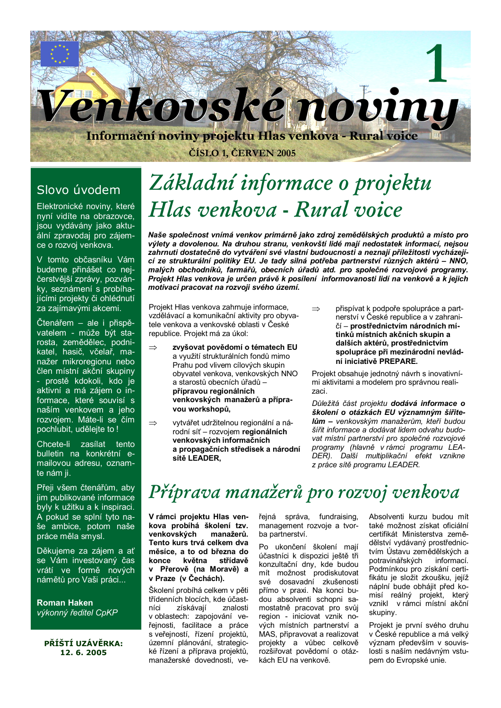

### Slovo úvodem

Elektronické noviny, které nyní vidíte na obrazovce, jsou vydávány jako aktuální zpravodaj pro zájemce o rozvoj venkova.

V tomto občasníku Vám budeme přinášet co nejčerstvější zprávy, pozvánky, seznámení s probíhajícími projekty či ohlédnutí za zajímavými akcemi.

Čtenářem - ale i přispěvatelem - může být starosta, zemědělec, podnikatel, hasič, včelař, manažer mikroregionu nebo člen místní akční skupiny - prostě kdokoli, kdo je aktivní a má zájem o informace, které souvisí s naším venkovem a jeho rozvoiem. Máte-li se čím pochlubit, udělejte to!

Chcete-li zasílat tento bulletin na konkrétní emailovou adresu, oznamte nám ji.

Přeji všem čtenářům, abv jim publikované informace byly k užitku a k inspiraci. A pokud se splní tyto naše ambice, potom naše práce měla smysl.

Děkujeme za zájem a ať se Vám investovaný čas vrátí ve formě nových námětů pro Vaši práci...

**Roman Haken** výkonný ředitel CpKP

PŘÍŠTÍ IIZÁVĚRKA: 12.6.2005

# Základní informace o projektu Hlas venkova - Rural voice

Naše společnost vnímá venkov primárně jako zdroj zemědělských produktů a místo pro výlety a dovolenou. Na druhou stranu, venkovští lidé mají nedostatek informací, nejsou zahrnuti dostatečně do vytváření své vlastní budoucnosti a neznají příležitosti vycházející ze strukturální politiky EU. Je tady silná potřeba partnerství různých aktérů - NNO, malých obchodníků, farmářů, obecních úřadů atd. pro společné rozvojové programy. Projekt Hlas venkova je určen právě k posílení informovanosti lidí na venkově a k jejich motivaci pracovat na rozvoji svého území.

 $\Rightarrow$ 

Projekt Hlas venkova zahrnuje informace. vzdělávací a komunikační aktivity pro obyvatele venkova a venkovské oblasti v České republice. Projekt má za úkol:

- zvyšovat povědomí o tématech EU  $\rightarrow$ a využití strukturálních fondů mimo Prahu pod vlivem cílových skupin obvyatel venkova, venkovských NNO a starostů obecních úřadů přípravou regionálních venkovských manažerů a přípravou workshopů,
- vytvářet udržitelnou regionální a ná- $\Rightarrow$ rodní síť - rozvojem regionálních venkovských informačních a propagačních středisek a národní sítě LEADER.
- přispívat k podpoře spolupráce a partnerství v České republice a v zahraničí – prostřednictvím národních mítinků místních akčních skupin a dalších aktérů, prostřednictvím spolupráce při mezinárodní nevládní iniciativě PREPARE.

Projekt obsahuje jednotný návrh s inovativními aktivitami a modelem pro správnou realizaci.

Důležitá část projektu dodává informace o školení o otázkách EU významným šiřitelům – venkovským manažerům. kteří budou šířit informace a dodávat lidem odvahu budovat místní partnerství pro společné rozvojové programy (hlavně v rámci programu LEA-DER). Další multiplikační efekt vznikne z práce sítě programu LEADER.

### Příprava manažerů pro rozvoj venkova

V rámci projektu Hlas venkova probíhá školení tzv. venkovských manažerů. Tento kurs trvá celkem dva měsíce, a to od března do května střídavě konce v Přerově (na Moravě) a v Praze (v Čechách).

Školení probíhá celkem v pěti třídenních blocích, kde účastzískávají níci znalosti v oblastech: zapojování veřejnosti, facilitace a práce s veřejností, řízení projektů, územní plánování, strategické řízení a příprava projektů. manažerské dovednosti, veřejná správa, fundraising, management rozvoje a tvorba partnerství.

Po ukončení školení mají účastníci k dispozici ještě tři konzultační dny, kde budou mít možnost prodiskutovat své dosavadní zkušenosti přímo v praxi. Na konci budou absolventi schopni samostatně pracovat pro svůj region - iniciovat vznik nových místních partnerství a MAS, připravovat a realizovat projekty a vůbec celkově rozšiřovat povědomí o otázkách EU na venkově.

Absolventi kurzu budou mít také možnost získat oficiální certifikát Ministerstva zemědělství vydávaný prostřednictvím Ústavu zemědělských a potravinářských informací Podmínkou pro získání certifikátu je složit zkoušku, jejíž náplní bude obhájit před komisí reálný projekt, který vznikl v rámci místní akční skupiny.

Projekt je první svého druhu v České republice a má velký význam především v souvislosti s naším nedávným vstupem do Evropské unie.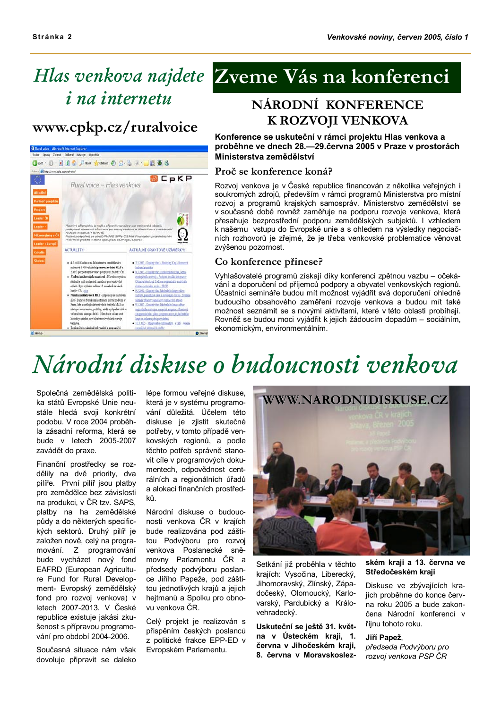# *i* na internetu

### www.cpkp.cz/ruralvoice



### Hlas venkova najdete Zveme Vás na konferenci

### NÁRODNÍ KONFERENCE K ROZVOJI VENKOVA

### Konference se uskuteční v rámci projektu Hlas venkova a proběhne ve dnech 28.–29. června 2005 v Praze v prostorách Ministerstva zemědělství

#### Proč se konference koná?

Rozvoj venkova je v České republice financován z několika veřejných i soukromých zdrojů, především v rámci programů Ministerstva pro místní rozvoj a programů krajských samospráv. Ministerstvo zemědělství se v současné době rovněž zaměřuje na podporu rozvoje venkova, která přesahuje bezprostřední podporu zemědělských subjektů. I vzhledem k našemu vstupu do Evropské unie a s ohledem na výsledky negociačních rozhovorů je zřejmé, že je třeba venkovské problematice věnovat zvýšenou pozornost.

#### Co konference přinese?

Vyhlašovatelé programů získají díky konferenci zpětnou vazbu – očekávání a doporučení od příjemců podpory a obyvatel venkovských regionů. Účastníci semináře budou mít možnost vyjádřit svá doporučení ohledně budoucího obsahového zaměření rozvoje venkova a budou mít také možnost seznámit se s novými aktivitami, které v této oblasti probíhají. Rovněž se budou moci vyjádřit k jejich žádoucím dopadům - sociálním, ekonomickým, environmentálním.

# Národní diskuse o budoucnosti venkova

Společná zemědělská politika států Evropské Unie neustále hledá svoji konkrétní podobu. V roce 2004 proběhla zásadní reforma, která se bude v letech 2005-2007 zavádět do praxe.

Finanční prostředky se rozdělily na dvě priority, dva pilíře. První pilíř jsou platby pro zemědělce bez závislosti na produkci. v ČR tzv. SAPS. platby na ha zemědělské půdy a do některých specifických sektorů. Druhý pilíř je založen nově, celý na programování. Z programování bude vycházet nový fond EAFRD (European Agriculture Fund for Rural Development- Evropský zemědělský fond pro rozvoj venkova) v letech 2007-2013. V České republice existuje jakási zkušenost s přípravou programování pro období 2004-2006.

Současná situace nám však dovoluje připravit se daleko

lépe formou veřejné diskuse. která je v systému programování důležitá. Účelem této diskuse je zjistit skutečné potřeby, v tomto případě venkovských regionů, a podle těchto potřeb správně stanovit cíle v programových dokumentech, odpovědnost centrálních a regionálních úřadů a alokaci finančních prostředků

Národní diskuse o budoucnosti venkova ČR v krajích bude realizována pod záštitou Podvýboru pro rozvoj venkova Poslanecké sněmovny Parlamentu ČR a předsedy podvýboru poslance Jiřího Papeže, pod záštitou jednotlivých krajů a jejich hejtmanů a Spolku pro obnovu venkova ČR.

Celý projekt je realizován s přispěním českých poslanců z politické frakce EPP-ED v Evropském Parlamentu.



Setkání již proběhla v těchto krajích: Vysočina, Liberecký, Jihomoravský, Zlínský, Západočeský, Olomoucký, Karlovarský, Pardubický a Královehradecký.

Uskuteční se ještě 31. května v Ústeckém kraji, 1. června v Jihočeském kraji. 8. června v Moravskoslez-

### ském kraji a 13. června ve Středočeském kraji

Diskuse ve zbývajících kraiích proběhne do konce června roku 2005 a bude zakončena Národní konferencí v říjnu tohoto roku.

#### Jiří Papež.

předseda Podvýboru pro rozvoj venkova PSP ČR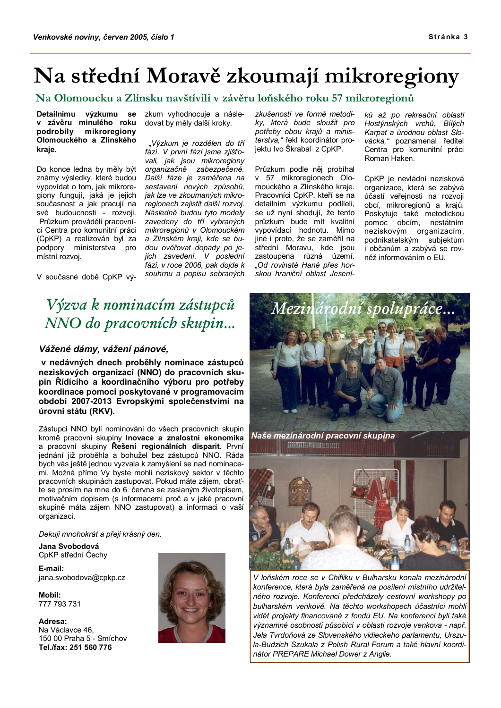### Na střední Moravě zkoumají mikroregiony

### Na Olomoucku a Zlínsku navštívili v závěru loňského roku 57 mikroregionů

Detailnímu výzkumu se v závěru minulého roku podrobily mikroregiony Olomouckého a Zlínského kraje.

Do konce ledna by měly být známy výsledky, které budou vypovídat o tom, jak mikroregiony fungují, jaká je jejich současnost a jak pracují na své budoucnosti - rozvoji. Průzkum prováděli pracovníci Centra pro komunitní práci (CpKP) a realizován byl za podpory ministerstva pro místní rozvoj.

zkum vyhodnocuje a následovat by měly další kroky.

"Výzkum je rozdělen do tří fází. V první fázi jsme zjišťovali, jak jsou mikroregiony organizačně zabezpečené. Další fáze je zaměřena na sestavení nových způsobů. jak lze ve zkoumaných mikroregionech zajistit další rozvoj. Následně budou tyto modely zavedeny do tří vybraných mikroregionů v Olomouckém a Zlínském kraji, kde se budou ověřovat dopady po jejich zavedení. V poslední fázi, v roce 2006, pak dojde k souhrnu a popisu sebraných

V současné době CpKP vý-

### Výzva k nominacím zástupců NNO do pracovních skupin...

### Vážené dámy, vážení pánové,

v nedávných dnech proběhly nominace zástupců neziskových organizací (NNO) do pracovních skupin Řídícího a koordinačního výboru pro potřeby koordinace pomoci poskytované v programovacím období 2007-2013 Evropskými společenstvími na úrovni státu (RKV).

Zástupci NNO byli nominováni do všech pracovních skupin kromě pracovní skupiny Inovace a znalostní ekonomika a pracovní skupiny Řešení regionálních disparit. První jednání již proběhla a bohužel bez zástupců NNO. Ráda bych vás ještě jednou vyzvala k zamyšlení se nad nominacemi. Možná přímo Vy byste mohli neziskový sektor v těchto pracovních skupinách zastupovat. Pokud máte zájem, obraťte se prosím na mne do 6. června se zaslaným životopisem, motivačním dopisem (s informacemi proč a v jaké pracovní skupině máta zájem NNO zastupovat) a informaci o vaší organizaci.

Dekuji mnohokrát a přeji krásný den.

Jana Svobodová CpKP střední Čechy

E-mail: iana.svobodova@cpkp.cz

Mobil: 777 793 731

Adresa: Na Václavce 46, 150 00 Praha 5 - Smíchov Tel./fax: 251 560 776



zkušeností ve formě metodiky, která bude sloužit pro potřeby obou krajů a ministerstva." řekl koordinátor projektu Ivo Škrabal z CpKP.

Průzkum podle něj probíhal v 57 mikroregionech Olomouckého a Zlínského kraje. Pracovníci CpKP, kteří se na detailním výzkumu podíleli, se už nyní shodují, že tento průzkum bude mít kvalitní vypovídací hodnotu. Mimo iiné i proto. že se zaměřil na střední Moravu, kde jsou zastoupena různá území. "Od rovinaté Hané přes horskou hraniční oblast Jesení-

ků až po rekreační oblasti Hostýnských vrchů, Bílých Karpat a úrodnou oblast Slovácka," poznamenal ředitel<br>Centra pro komunitní práci Roman Haken.

CpKP je nevládní nezisková organizace, která se zabývá účastí veřejnosti na rozvoji obcí, mikroregionů a krajů. Poskytuje také metodickou pomoc obcím, nestátním neziskovým organizacím, podnikatelským subjektům i občanům a zabývá se rovněž informováním o EU.



V loňském roce se v Chifliku v Bulharsku konala mezinárodní konference, která byla zaměřená na posílení místního udržitelného rozvoje. Konferenci předcházely cestovní workshopy po bulharském venkově. Na těchto workshopech účastníci mohli vidět projekty financované z fondů EU. Na konferenci byli také významné osobnosti působící v oblasti rozvoje venkova - např. Jela Tvrdoňová ze Slovenského vidieckeho parlamentu, Urszula-Budzich Szukala z Polish Rural Forum a také hlavní koordinátor PREPARE Michael Dower z Anglie.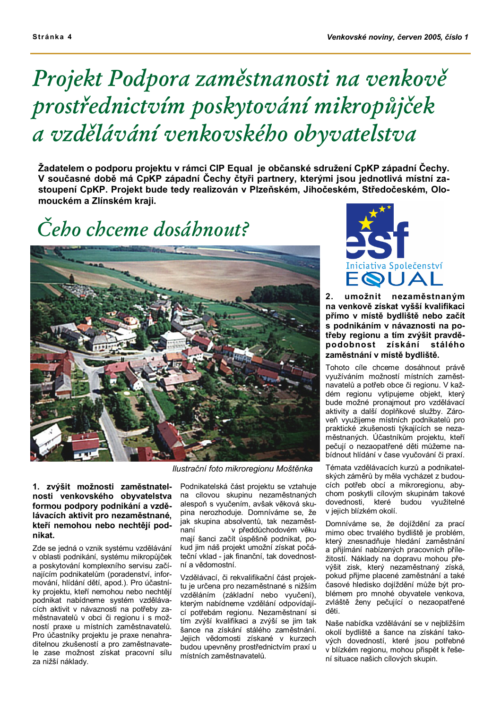# Projekt Podpora zaměstnanosti na venkově prostřednictvím poskytování mikropůjček a vzdělávání venkovského obyvatelstva

Žadatelem o podporu projektu v rámci CIP Equal je občanské sdružení CpKP západní Čechy. V současné době má CpKP západní Čechy čtyři partnery, kterými jsou jednotlivá místní zastoupení CpKP. Projekt bude tedy realizován v Plzeňském, Jihočeském, Středočeském, Olomouckém a Zlínském kraji.

# Čebo chceme dosábnout?



1. zvýšit možnosti zaměstnatelnosti venkovského obyvatelstva formou podpory podnikání a vzdělávacích aktivit pro nezaměstnané, kteří nemohou nebo nechtějí podnikat.

Zde se jedná o vznik systému vzdělávání v oblasti podnikání, systému mikropůjček a poskytování komplexního servisu začínajícím podnikatelům (poradenství, informování, hlídání dětí, apod.). Pro účastníky projektu, kteří nemohou nebo nechtějí podnikat nabídneme systém vzdělávacích aktivit v návaznosti na potřeby zaměstnavatelů v obci či regionu i s možností praxe u místních zaměstnavatelů. Pro účastníky projektu je praxe nenahraditelnou zkušeností a pro zaměstnavatele zase možnost získat pracovní sílu za nižší náklady.

Ilustrační foto mikroregionu Moštěnka

Podnikatelská část projektu se vztahuje na cílovou skupinu nezaměstnaných alespoň s vyučením, avšak věková skupina nerozhoduje. Domníváme se. že jak skupina absolventů, tak nezaměstnaní v předdůchodovém věku mají šanci začít úspěšně podnikat, pokud jim náš projekt umožní získat počáteční vklad - jak finanční, tak dovednostní a vědomostní

Vzdělávací, či rekvalifikační část projektu je určena pro nezaměstnané s nižším vzděláním (základní nebo vyučení), kterým nabídneme vzdělání odpovídající potřebám regionu. Nezaměstnaní si tím zvýší kvalifikaci a zvýší se jim tak šance na získání stálého zaměstnání. Jejich vědomosti získané v kurzech budou upevněny prostřednictvím praxí u místních zaměstnavatelů.



umožnit nezaměstnaným  $2.$ na venkově získat vyšší kvalifikaci přímo v místě bydliště nebo začít s podnikáním v návaznosti na potřeby regionu a tím zvýšit pravděpodobnost získání stálého zaměstnání v místě bydliště.

Tohoto cíle chceme dosáhnout právě využíváním možností místních zaměstnavatelů a potřeb obce či regionu. V každém regionu vytipujeme objekt, který bude možné pronajmout pro vzdělávací aktivity a další doplňkové služby. Zároveň vvužijeme místních podnikatelů pro praktické zkušenosti týkajících se nezaměstnaných. Účastníkům projektu, kteří pečují o nezaopatřené děti můžeme nabídnout hlídání v čase vyučování či praxí.

Témata vzdělávacích kurzů a podnikatelských záměrů by měla vycházet z budoucích potřeb obcí a mikroregionu, abychom poskytli cílovým skupinám takové dovednosti, které budou využitelné v jejich blízkém okolí.

Domníváme se, že dojíždění za prací mimo obec trvalého bydliště je problém, který znesnadňuje hledání zaměstnání a přijímání nabízených pracovních příležitostí. Náklady na dopravu mohou převýšit zisk, který nezaměstnaný získá, pokud přijme placené zaměstnání a také časové hledisko dojíždění může být problémem pro mnohé obyvatele venkova, zvláště ženy pečující o nezaopatřené děti.

Naše nabídka vzdělávání se v neibližším okolí bydliště a šance na získání takových dovedností, které jsou potřebné v blízkém regionu, mohou přispět k řešení situace našich cílových skupin.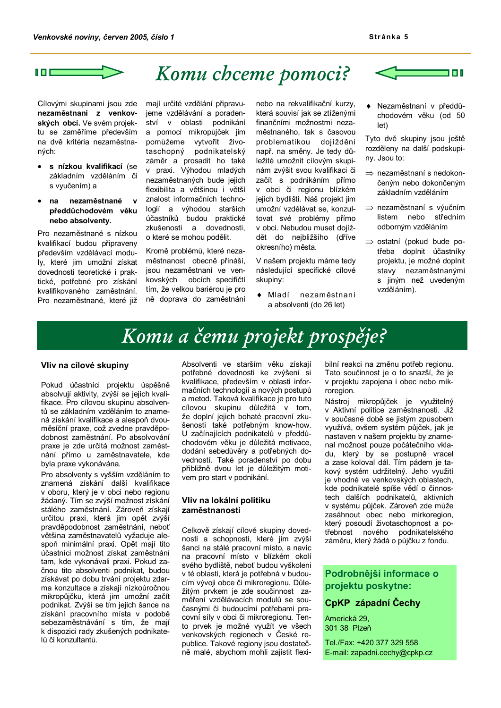

### Komu chceme pomoci?

Cílovými skupinami jsou zde nezaměstnaní z venkovských obcí. Ve svém projektu se zaměříme především na dvě kritéria nezaměstnaných:

- s nízkou kvalifikací (se  $\bullet$ základním vzděláním či s vyučením) a
- na nezaměstnané  $\mathbf{v}$ předdůchodovém věku nebo absolventy.

Pro nezaměstnané s nízkou kvalifikací budou připraveny především vzdělávací moduly, které jim umožní získat dovednosti teoretické i praktické, potřebné pro získání kvalifikovaného zaměstnání. Pro nezaměstnané, které již

mají určité vzdělání připravujeme vzdělávání a poradenství v oblasti podnikání a pomocí mikropůjček jim pomůžeme vytvořit životaschopný podnikatelský záměr a prosadit ho také v praxi. Výhodou mladých nezaměstnaných bude jejich flexibilita a většinou i větší znalost informačních technologií a výhodou starších účastníků budou praktické zkušenosti a dovednosti, o které se mohou podělit.

Kromě problémů, které nezaměstnanost obecně přináší, jsou nezaměstnaní ve venkovských obcích specifičtí tím, že velkou bariérou je pro ně doprava do zaměstnání nebo na rekvalifikační kurzy, která souvisí jak se ztíženými finančními možnostmi nezaměstnaného, tak s časovou problematikou dojíždění např. na směny. Je tedy důležité umožnit cílovým skupinám zvýšit svou kvalifikaci či začít s podnikáním přímo v obci či regionu blízkém jejich bydlišti. Náš projekt jim umožní vzdělávat se, konzultovat své problémy přímo v obci. Nebudou muset dojíždět do nejbližšího (dříve okresního) města.

V našem projektu máme tedy následující specifické cílové skupiny:

 $\bullet$  Mladí nezaměstnaní a absolventi (do 26 let)



· Nezaměstnaní v předdůchodovém věku (od 50  $let)$ 

Tyto dvě skupiny jsou ještě rozděleny na další podskupiny. Jsou to:

- $\Rightarrow$  nezaměstnaní s nedokončeným nebo dokončeným základním vzděláním
- ⇒ nezaměstnaní s výučním listem nebo středním odborným vzděláním
- $\Rightarrow$  ostatní (pokud bude potřeba doplnit účastníky projektu, je možné doplnit stavy nezaměstnanými s jiným než uvedeným vzděláním).

### Komu a čemu projekt prospěje?

#### Vliv na cílové skupiny

Pokud účastníci projektu úspěšně absolvují aktivity, zvýší se jejich kvalifikace. Pro cílovou skupinu absolventů se základním vzděláním to znamená získání kvalifikace a alespoň dvouměsíční praxe, což zvedne pravděpodobnost zaměstnání. Po absolvování praxe je zde určitá možnost zaměstnání přímo u zaměstnavatele, kde byla praxe vykonávána.

Pro absolventy s vyšším vzděláním to znamená získání další kvalifikace v oboru, který je v obci nebo regionu žádaný. Tím se zvýší možnost získání stálého zaměstnání. Zároveň získají určitou praxi, která jim opět zvýší pravděpodobnost zaměstnání, neboť většina zaměstnavatelů vyžaduje alespoň minimální praxi. Opět mají tito účastníci možnost získat zaměstnání tam, kde vykonávali praxi. Pokud začnou tito absolventi podnikat, budou získávat po dobu trvání projektu zdarma konzultace a získají nízkoúročnou mikropůjčku, která jim umožní začít podnikat. Zvýší se tím jejich šance na získání pracovního místa v podobě sebezaměstnávání s tím, že mají k dispozici rady zkušených podnikatelů či konzultantů.

Absolventi ve starším věku získají potřebné dovednosti ke zvýšení si kvalifikace, především v oblasti informačních technologií a nových postupů a metod. Taková kvalifikace je pro tuto cílovou skupinu důležitá v tom, že doplní jejich bohaté pracovní zkušenosti také potřebným know-how. U začínajících podnikatelů v předdůchodovém věku je důležitá motivace, dodání sebedůvěry a potřebných dovedností. Také poradenství po dobu přibližně dvou let je důležitým motivem pro start v podnikání.

### Vliv na lokální politiku zaměstnanosti

Celkově získají cílové skupiny dovednosti a schopnosti, které jim zvýší šanci na stálé pracovní místo, a navíc na pracovní místo v blízkém okolí svého bydliště, neboť budou vyškoleni v té oblasti, která je potřebná v budoucím vývoji obce či mikroregionu. Důležitým prvkem je zde součinnost zaměření vzdělávacích modulů se současnými či budoucími potřebami pracovní síly v obci či mikroregionu. Tento prvek je možné využít ve všech venkovských regionech v České republice. Takové regiony jsou dostatečně malé, abychom mohli zajistit flexi-

bilní reakci na změnu potřeb regionu. Tato součinnost je o to snazší, že je v projektu zapojena i obec nebo mikroregion.

Nástroj mikropůjček je využitelný v Aktivní politice zaměstnanosti. Již v současné době se jistým způsobem vvužívá, ovšem systém půjček, jak je nastaven v našem projektu by znamenal možnost pouze počátečního vkladu, který by se postupně vracel<br>a zase koloval dál. Tím pádem je takový systém udržitelný. Jeho využití je vhodné ve venkovských oblastech, kde podnikatelé spíše vědí o činnostech dalších podnikatelů, aktivních v systému půjček. Zároveň zde může zasáhnout obec nebo mirkoregion, který posoudí životaschopnost a potřebnost nového podnikatelského záměru, který žádá o půjčku z fondu.

### Podrobnější informace o projektu poskytne:

### CpKP západní Čechy

Americká 29. 301 38 Plzeň

Tel./Fax: +420 377 329 558 E-mail: zapadni.cechy@cpkp.cz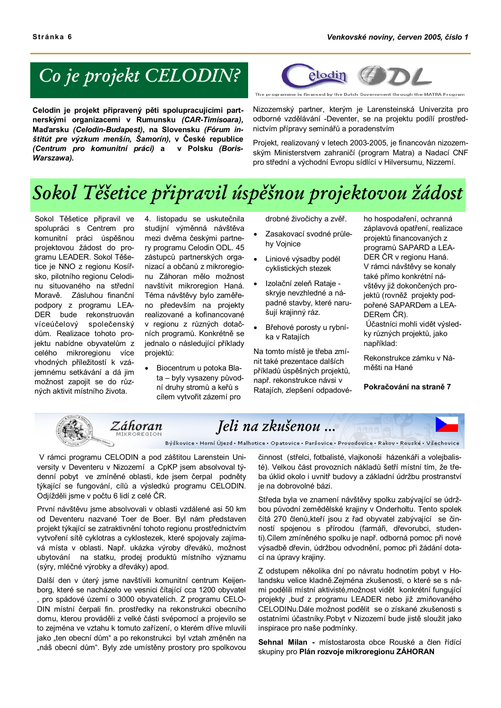### Co je projekt CELODIN?

Celodin je projekt připravený pěti spolupracujícími partnerskými organizacemi v Rumunsku (CAR-Timisoara), Maďarsku (Celodin-Budapest), na Slovensku (Fórum inštitút pre výzkum menšín, Šamorín), v České republice (Centrum pro komunitní práci) a v Polsku (Boris-Warszawa).



The programme is financed by the Dutch Government through the MATRA Program

Nizozemský partner, kterým je Larensteinská Univerzita pro odborné vzdělávání -Deventer, se na projektu podílí prostřednictvím přípravy seminářů a poradenstvím

Projekt, realizovaný v letech 2003-2005, je financován nizozemským Ministerstvem zahraničí (program Matra) a Nadací CNF pro střední a východní Evropu sídlící v Hilversumu, Nizzemí.

# Sokol Těšetice připravil úspěšnou projektovou žádost

Sokol Těšetice připravil ve spolupráci s Centrem pro komunitní práci úspěšnou projektovou žádost do programu LEADER. Sokol Těšetice je NNO z regionu Kosířsko, pilotního regionu Celodinu situovaného na střední Moravě. Zásluhou finanční podpory z programu LEA-DER bude rekonstruován víceúčelový společenský dům. Realizace tohoto projektu nabídne obyvatelům z celého mikroregionu více vhodných příležitostí k vzájemnému setkávání a dá jim možnost zapojit se do různých aktivit místního života.

4. listopadu se uskutečnila studijní výměnná návštěva mezi dvěma českými partnery programu Celodin ODL. 45 zástupců partnerských organizací a občanů z mikroregionu Záhoran mělo možnost navštívit mikroregion Haná. Téma návštěvy bylo zaměřeno především na projekty realizované a kofinancované v regionu z různých dotačních programů. Konkrétně se jednalo o následující příklady projektů:

Biocentrum u potoka Blata - byly vysazeny původní druhy stromů a keřů s cílem vytvořit zázemí pro

drobné živočichy a zvěř.

- Zasakovací svodné průlehy Vojnice
- Liniové výsadby podél  $\bullet$ cyklistických stezek
- Izolační zeleň Rataje - $\bullet$ skrvie nevzhledné a nápadné stavby, které narušují krajinný ráz.
- Břehové porosty u rybní- $\bullet$ ka v Ratajích

Na tomto místě je třeba zmínit také prezentace dalších příkladů úspěšných projektů, např. rekonstrukce návsi v Ratajích, zlepšení odpadového hospodaření, ochranná záplavová opatření, realizace projektů financovaných z programů SAPARD a LEA-DER ČR v regionu Haná. V rámci návštěvy se konaly také přímo konkrétní návštěvy již dokončených projektů (rovněž projekty podpořené SAPARDem a LEA-DERem ČR).

Účastníci mohli vidět výsledky různých projektů, jako například:

Rekonstrukce zámku v Náměšti na Hané

Pokračování na straně 7



V rámci programu CELODIN a pod záštitou Larenstein University v Deventeru v Nizozemí a CpKP jsem absolvoval týdenní pobyt ve zmíněné oblasti, kde jsem čerpal podněty týkající se fungování, cílů a výsledků programu CELODIN. Odjížděli jsme v počtu 6 lidí z celé ČR.

První návštěvu jsme absolvovali v oblasti vzdálené asi 50 km od Deventeru nazvané Toer de Boer. Byl nám představen projekt týkající se zatraktivnění tohoto regionu prostřednictvím vytvoření sítě cyklotras a cyklostezek, které spojovaly zajímavá místa v oblasti. Např. ukázka výroby dřeváků, možnost ubytování na statku, prodej produktů místního významu (sýry, mléčné výrobky a dřeváky) apod.

Další den v úterý jsme navštívili komunitní centrum Keijenborg, které se nacházelo ve vesnici čítající cca 1200 obyvatel , pro spádové území o 3000 obyvatelích. Z programu CELO-DIN místní čerpali fin. prostředky na rekonstrukci obecního domu, kterou prováděli z velké části svépomocí a projevilo se to zejména ve vztahu k tomuto zařízení, o kterém dříve mluvili jako "ten obecní dům" a po rekonstrukci byl vztah změněn na "náš obecní dům". Byly zde umístěny prostory pro spolkovou

činnost (střelci, fotbalisté, vlajkonoši házenkáři a volejbalisté). Velkou část provozních nákladů šetří místní tím, že třeba úklid okolo i uvnitř budovy a základní údržbu prostranství je na dobrovolné bázi.

Středa byla ve znamení návštěvy spolku zabývající se údržbou původní zemědělské krajiny v Onderholtu. Tento spolek čítá 270 členů, kteří jsou z řad obyvatel zabývající se činností spojenou s přírodou (farmáři, dřevorubci, studenti). Cílem zmíněného spolku je např. odborná pomoc při nové výsadbě dřevin, údržbou odvodnění, pomoc při žádání dotací na úpravy krajiny.

Z odstupem několika dní po návratu hodnotím pobyt v Holandsku velice kladně. Zejména zkušenosti, o které se s námi podělili místní aktivisté, možnost vidět konkrétní fungující projekty .buď z programu LEADER nebo již zmiňovaného CELODINu.Dále možnost podělit se o získané zkušenosti s ostatními účastníky. Pobyt v Nizozemí bude jistě sloužit jako inspirace pro naše podmínky.

Sehnal Milan - místostarosta obce Rouské a člen řídící skupiny pro Plán rozvoje mikroregionu ZÁHORAN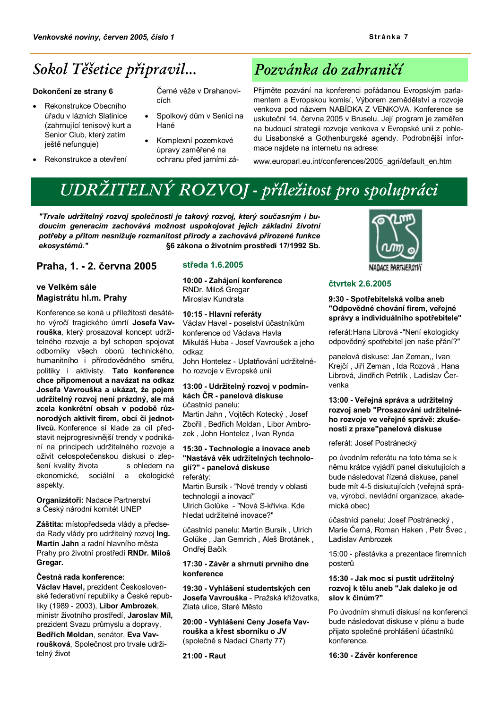### Sokol Těšetice připravil...

#### Dokončení ze strany 6

- Rekonstrukce Obecního úřadu v lázních Slatinice (zahrnující tenisový kurt a Senior Club, který zatím ieště nefunguie)
- Rekonstrukce a otevření

Černé věže v Drahanovicích

- Spolkový dům v Senici na Hané
- Komplexní pozemkové úpravy zaměřené na ochranu před jarními zá-

### Pozvánka do zahraničí

Přijměte pozvání na konferenci pořádanou Evropským parlamentem a Evropskou komisí, Výborem zemědělství a rozvoje venkova pod názvem NABÍDKA Z VENKOVA. Konference se uskuteční 14. června 2005 v Bruselu. Její program je zaměřen na budoucí strategii rozvoje venkova v Evropské unii z pohledu Lisabonské a Gothenburgské agendy. Podrobnější informace najdete na internetu na adrese:

www.europarl.eu.int/conferences/2005 agri/default en.htm

### UDRŽITELNÝ ROZVOJ - příležitost pro spolupráci

"Trvale udržitelný rozvoj společnosti je takový rozvoj, který současným i budoucím generacím zachovává možnost uspokojovat jejich základní životní potřeby a přitom nesnižuje rozmanitost přírody a zachovává přirozené funkce ekosvstémů." §6 zákona o životním prostředí 17/1992 Sb.

### Praha. 1. - 2. června 2005

### ve Velkém sále Magistrátu hl.m. Prahy

Konference se koná u příležitosti desátého výročí tragického úmrtí Josefa Vavrouška, který prosazoval koncept udržitelného rozvoje a byl schopen spojovat odborníky všech oborů technického, humanitního i přírodovědného směru, politiky i aktivisty. Tato konference chce připomenout a navázat na odkaz Josefa Vavrouška a ukázat, že pojem udržitelný rozvoj není prázdný, ale má zcela konkrétní obsah v podobě různorodých aktivit firem, obcí či jednotlivců. Konference si klade za cíl představit nejprogresivnější trendy v podnikání na principech udržitelného rozvoje a oživit celospolečenskou diskusi o zlepšení kvalitv života s ohledem na ekonomické. sociální a ekologické aspekty.

Organizátoři: Nadace Partnerství a Český národní komitét UNEP

Záštita: místopředseda vlády a předseda Rady vlády pro udržitelný rozvoj Ing. Martin Jahn a radní hlavního města Prahy pro životní prostředí RNDr. Miloš Gregar.

### Čestná rada konference:

Václav Havel, prezident Československé federativní republiky a České republiky (1989 - 2003), Libor Ambrozek, ministr životního prostředí, Jaroslav Míl, prezident Svazu průmyslu a dopravy, Bedřich Moldan, senátor, Eva Vavroušková, Společnost pro trvale udržitelný život

### středa 1.6.2005

10:00 - Zahájení konference RNDr. Miloš Gregar Miroslav Kundrata

10:15 - Hlavní referátv

Václav Havel - poselství účastníkům konference od Václava Havla Mikuláš Huba - Josef Vavroušek a jeho odkaz

John Hontelez - Uplatňování udržitelného rozvoje v Evropské unii

### 13:00 - Udržitelný rozvoj v podmínkách ČR - panelová diskuse

účastníci panelu: Martin Jahn, Vojtěch Kotecký, Josef Zbořil, Bedřich Moldan, Libor Ambrozek, John Hontelez, Ivan Rynda

### 15:30 - Technologie a inovace aneb "Nastává věk udržitelných technologií?" - panelová diskuse referátv:

Martin Bursík - "Nové trendy v oblasti technologií a inovací" Ulrich Golüke - "Nová S-křivka, Kde hledat udržitelné inovace?'

účastníci panelu: Martin Bursík, Ulrich Golüke, Jan Gemrich, Aleš Brotánek, Ondřej Bačík

#### 17:30 - Závěr a shrnutí prvního dne konference

19:30 - Vyhlášení studentských cen Josefa Vavrouška - Pražská křižovatka. Zlatá ulice. Staré Město

20:00 - Vyhlášení Ceny Josefa Vavrouška a křest sborníku o JV (společně s Nadací Charty 77)

21:00 - Raut



### čtvrtek 2.6.2005

9:30 - Spotřebitelská volba aneb "Odpovědné chování firem, veřejné správy a individuálního spotřebitele"

referát: Hana Librová - "Není ekologicky odpovědný spotřebitel jen naše přání?"

panelová diskuse: Jan Zeman., Ivan Krejčí, Jiří Zeman, Ida Rozová, Hana Librová, Jindřich Petrlík, Ladislav Červenka

### 13:00 - Veřejná správa a udržitelný rozvoj aneb "Prosazování udržitelného rozvoje ve veřejné správě: zkušenosti z praxe"panelová diskuse

referát: Josef Postránecký

po úvodním referátu na toto téma se k němu krátce vyjádří panel diskutujících a bude následovat řízená diskuse, panel bude mít 4-5 diskutujících (veřejná správa, výrobci, nevládní organizace, akademická obec)

účastníci panelu: Josef Postránecký, Marie Černá, Roman Haken, Petr Švec, Ladislav Ambrozek

15:00 - přestávka a prezentace firemních posterů

#### 15:30 - Jak moc si pustit udržitelný rozvoi k tělu aneb "Jak daleko je od slov k činům?"

Po úvodním shrnutí diskusí na konferenci bude následovat diskuse v plénu a bude přijato společné prohlášení účastníků konference.

16:30 - Závěr konference